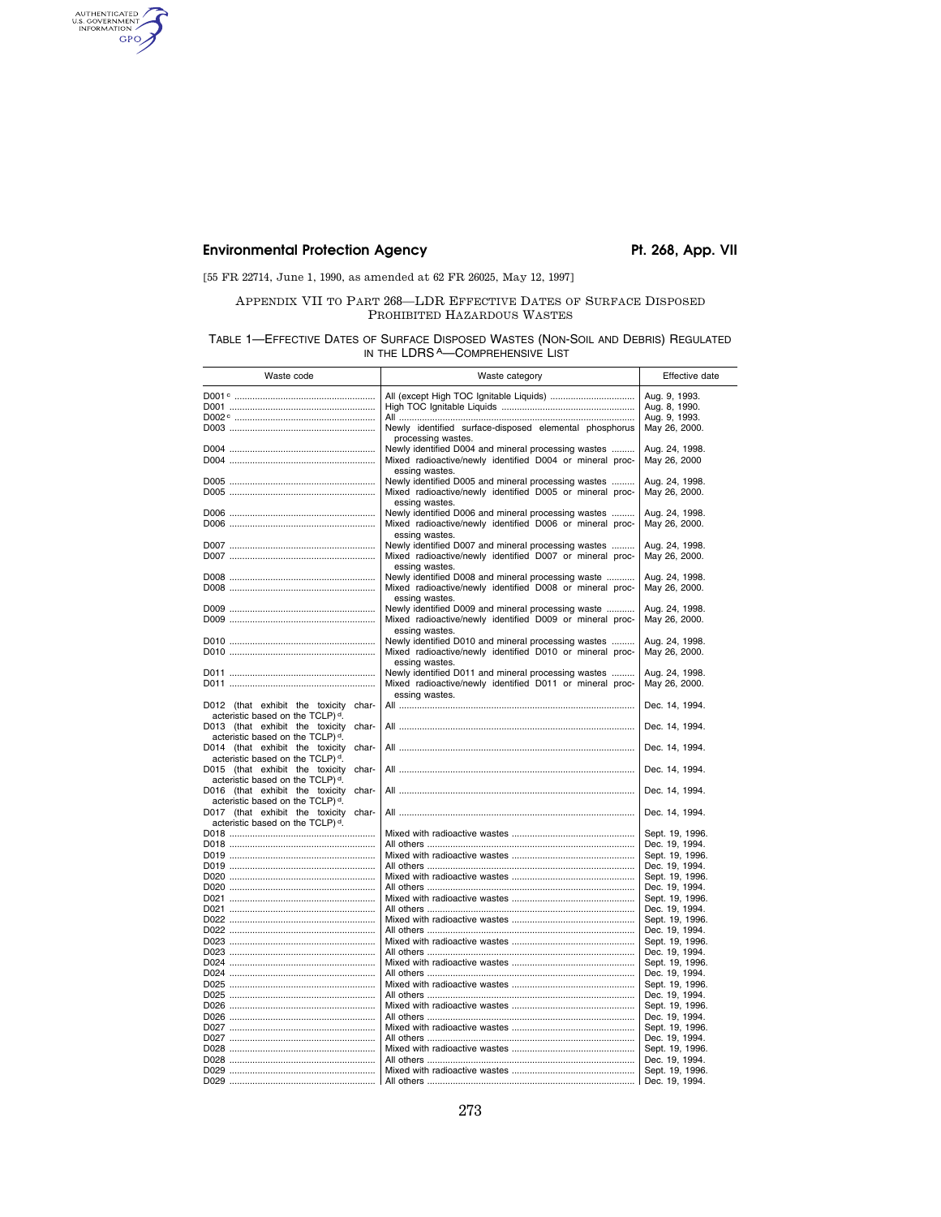### Environmental Protection Agency **Pt. 268, App. VII**

AUTHENTICATED

[55 FR 22714, June 1, 1990, as amended at 62 FR 26025, May 12, 1997]

#### APPENDIX VII TO PART 268—LDR EFFECTIVE DATES OF SURFACE DISPOSED PROHIBITED HAZARDOUS WASTES

TABLE 1—EFFECTIVE DATES OF SURFACE DISPOSED WASTES (NON-SOIL AND DEBRIS) REGULATED IN THE LDRS A-COMPREHENSIVE LIST

| Waste code                                                                               | Waste category                                                                                                  | Effective date                    |  |  |
|------------------------------------------------------------------------------------------|-----------------------------------------------------------------------------------------------------------------|-----------------------------------|--|--|
|                                                                                          | All (except High TOC Ignitable Liquids)                                                                         | Aug. 9, 1993.                     |  |  |
|                                                                                          |                                                                                                                 | Aug. 8, 1990.                     |  |  |
|                                                                                          |                                                                                                                 | Aug. 9, 1993.                     |  |  |
|                                                                                          | Newly identified surface-disposed elemental phosphorus                                                          | May 26, 2000.                     |  |  |
|                                                                                          | processing wastes.                                                                                              |                                   |  |  |
|                                                                                          | Newly identified D004 and mineral processing wastes                                                             | Aug. 24, 1998.                    |  |  |
|                                                                                          | Mixed radioactive/newly identified D004 or mineral proc-                                                        | May 26, 2000                      |  |  |
|                                                                                          | essing wastes.                                                                                                  |                                   |  |  |
|                                                                                          | Newly identified D005 and mineral processing wastes                                                             | Aug. 24, 1998.                    |  |  |
|                                                                                          | Mixed radioactive/newly identified D005 or mineral proc-                                                        | May 26, 2000.                     |  |  |
|                                                                                          | essing wastes.                                                                                                  |                                   |  |  |
|                                                                                          | Newly identified D006 and mineral processing wastes<br>Mixed radioactive/newly identified D006 or mineral proc- | Aug. 24, 1998.<br>May 26, 2000.   |  |  |
|                                                                                          | essing wastes.                                                                                                  |                                   |  |  |
|                                                                                          | Newly identified D007 and mineral processing wastes                                                             | Aug. 24, 1998.                    |  |  |
|                                                                                          | Mixed radioactive/newly identified D007 or mineral proc-                                                        | May 26, 2000.                     |  |  |
|                                                                                          | essing wastes.                                                                                                  |                                   |  |  |
|                                                                                          | Newly identified D008 and mineral processing waste                                                              | Aug. 24, 1998.                    |  |  |
|                                                                                          | Mixed radioactive/newly identified D008 or mineral proc-                                                        | May 26, 2000.                     |  |  |
|                                                                                          | essing wastes.                                                                                                  |                                   |  |  |
|                                                                                          | Newly identified D009 and mineral processing waste                                                              | Aug. 24, 1998.                    |  |  |
|                                                                                          | Mixed radioactive/newly identified D009 or mineral proc-                                                        | May 26, 2000.                     |  |  |
|                                                                                          | essing wastes.<br>Newly identified D010 and mineral processing wastes                                           | Aug. 24, 1998.                    |  |  |
|                                                                                          | Mixed radioactive/newly identified D010 or mineral proc-                                                        | May 26, 2000.                     |  |  |
|                                                                                          | essing wastes.                                                                                                  |                                   |  |  |
|                                                                                          | Newly identified D011 and mineral processing wastes                                                             | Aug. 24, 1998.                    |  |  |
|                                                                                          | Mixed radioactive/newly identified D011 or mineral proc-                                                        | May 26, 2000.                     |  |  |
|                                                                                          | essing wastes.                                                                                                  |                                   |  |  |
| D012 (that exhibit the toxicity char-                                                    |                                                                                                                 | Dec. 14, 1994.                    |  |  |
| acteristic based on the TCLP) <sup>d</sup> .                                             |                                                                                                                 |                                   |  |  |
| D013 (that exhibit the toxicity char-                                                    |                                                                                                                 | Dec. 14, 1994.                    |  |  |
| acteristic based on the TCLP) <sup>d</sup> .                                             |                                                                                                                 |                                   |  |  |
| D014 (that exhibit the toxicity<br>char-<br>acteristic based on the TCLP) <sup>d</sup> . |                                                                                                                 | Dec. 14, 1994.                    |  |  |
| D015 (that exhibit the toxicity<br>char-                                                 |                                                                                                                 | Dec. 14, 1994.                    |  |  |
| acteristic based on the TCLP) <sup>d</sup> .                                             |                                                                                                                 |                                   |  |  |
| D016 (that exhibit the toxicity char-                                                    |                                                                                                                 | Dec. 14, 1994.                    |  |  |
| acteristic based on the TCLP) <sup>d</sup> .                                             |                                                                                                                 |                                   |  |  |
| D017 (that exhibit the toxicity char-                                                    |                                                                                                                 | Dec. 14, 1994.                    |  |  |
| acteristic based on the TCLP) <sup>d</sup> .                                             |                                                                                                                 |                                   |  |  |
|                                                                                          |                                                                                                                 | Sept. 19, 1996.                   |  |  |
|                                                                                          |                                                                                                                 | Dec. 19, 1994.                    |  |  |
|                                                                                          |                                                                                                                 | Sept. 19, 1996.                   |  |  |
|                                                                                          |                                                                                                                 | Dec. 19, 1994.                    |  |  |
|                                                                                          |                                                                                                                 | Sept. 19, 1996.<br>Dec. 19, 1994. |  |  |
|                                                                                          |                                                                                                                 | Sept. 19, 1996.                   |  |  |
|                                                                                          |                                                                                                                 | Dec. 19, 1994.                    |  |  |
|                                                                                          |                                                                                                                 | Sept. 19, 1996.                   |  |  |
|                                                                                          |                                                                                                                 | Dec. 19, 1994.                    |  |  |
|                                                                                          |                                                                                                                 | Sept. 19, 1996.                   |  |  |
|                                                                                          |                                                                                                                 | Dec. 19, 1994.                    |  |  |
|                                                                                          |                                                                                                                 | Sept. 19, 1996.                   |  |  |
|                                                                                          |                                                                                                                 | Dec. 19, 1994.                    |  |  |
|                                                                                          |                                                                                                                 | Sept. 19, 1996.                   |  |  |
|                                                                                          |                                                                                                                 | Dec. 19, 1994.                    |  |  |
|                                                                                          |                                                                                                                 | Sept. 19, 1996.<br>Dec. 19, 1994. |  |  |
|                                                                                          |                                                                                                                 | Sept. 19, 1996.                   |  |  |
|                                                                                          |                                                                                                                 | Dec. 19, 1994.                    |  |  |
|                                                                                          |                                                                                                                 | Sept. 19, 1996.                   |  |  |
|                                                                                          |                                                                                                                 | Dec. 19, 1994.                    |  |  |
|                                                                                          |                                                                                                                 | Sept. 19, 1996.                   |  |  |
|                                                                                          |                                                                                                                 | Dec. 19, 1994.                    |  |  |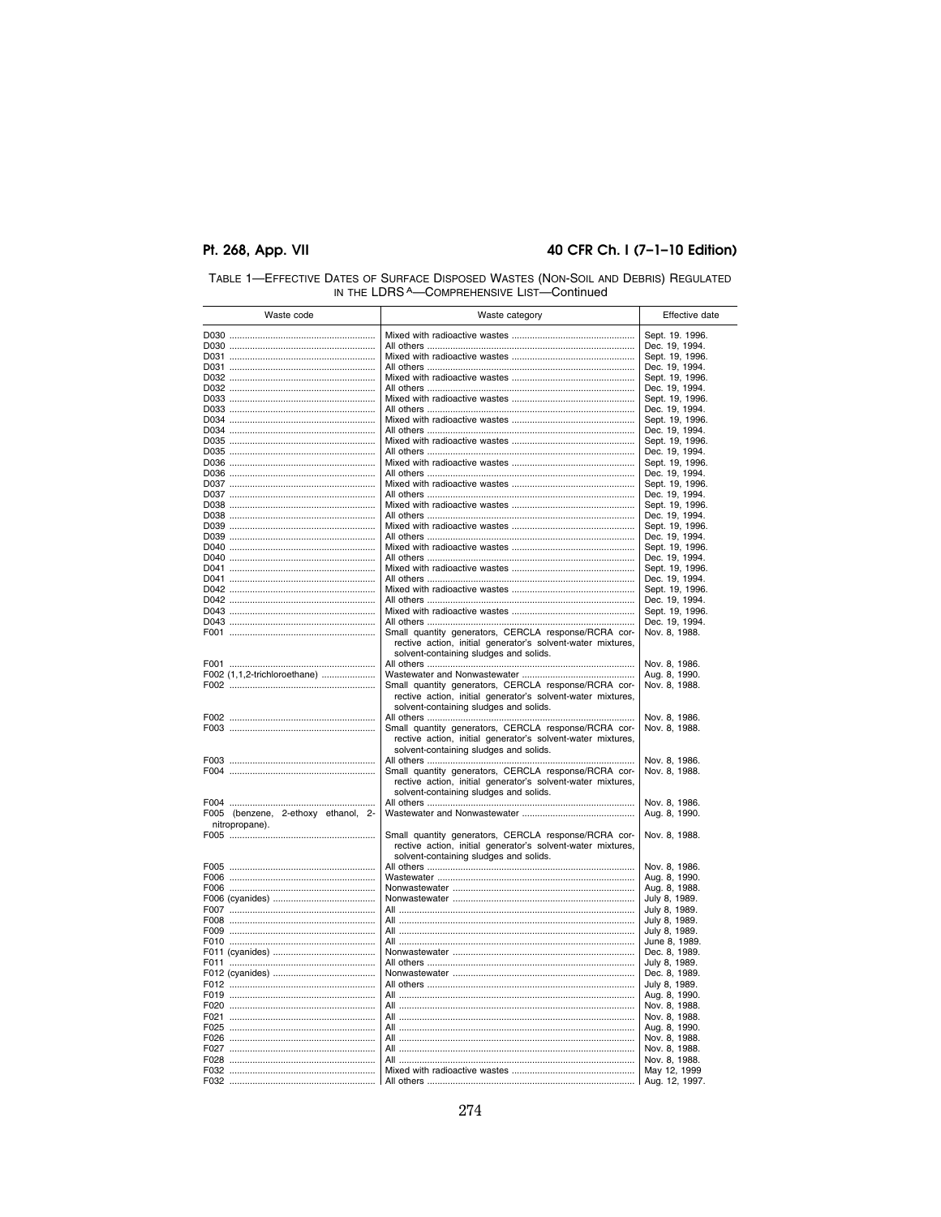#### 40 CFR Ch. I (7-1-10 Edition)

| Waste code                                            | Waste category                                                                                                                                                | Effective date                    |
|-------------------------------------------------------|---------------------------------------------------------------------------------------------------------------------------------------------------------------|-----------------------------------|
|                                                       |                                                                                                                                                               | Sept. 19. 1996.                   |
|                                                       |                                                                                                                                                               | Dec. 19, 1994.                    |
|                                                       |                                                                                                                                                               | Sept. 19, 1996.                   |
|                                                       |                                                                                                                                                               | Dec. 19, 1994.                    |
|                                                       |                                                                                                                                                               | Sept. 19, 1996.                   |
|                                                       |                                                                                                                                                               | Dec. 19, 1994.                    |
|                                                       |                                                                                                                                                               | Sept. 19, 1996.<br>Dec. 19, 1994. |
|                                                       |                                                                                                                                                               | Sept. 19, 1996.                   |
|                                                       |                                                                                                                                                               | Dec. 19, 1994.                    |
|                                                       |                                                                                                                                                               | Sept. 19, 1996.                   |
|                                                       |                                                                                                                                                               | Dec. 19, 1994.                    |
|                                                       |                                                                                                                                                               | Sept. 19, 1996.                   |
|                                                       |                                                                                                                                                               | Dec. 19, 1994.                    |
|                                                       |                                                                                                                                                               | Sept. 19, 1996.                   |
|                                                       |                                                                                                                                                               | Dec. 19, 1994.                    |
|                                                       |                                                                                                                                                               | Sept. 19, 1996.<br>Dec. 19, 1994. |
|                                                       |                                                                                                                                                               | Sept. 19, 1996.                   |
|                                                       |                                                                                                                                                               | Dec. 19, 1994.                    |
|                                                       |                                                                                                                                                               | Sept. 19, 1996.                   |
|                                                       |                                                                                                                                                               | Dec. 19, 1994.                    |
|                                                       |                                                                                                                                                               | Sept. 19, 1996.                   |
|                                                       |                                                                                                                                                               | Dec. 19, 1994.                    |
|                                                       |                                                                                                                                                               | Sept. 19, 1996.                   |
|                                                       |                                                                                                                                                               | Dec. 19, 1994.                    |
|                                                       |                                                                                                                                                               | Sept. 19, 1996.                   |
|                                                       |                                                                                                                                                               | Dec. 19, 1994.                    |
|                                                       | Small quantity generators, CERCLA response/RCRA cor-<br>rective action, initial generator's solvent-water mixtures,<br>solvent-containing sludges and solids. | Nov. 8, 1988.                     |
|                                                       |                                                                                                                                                               | Nov. 8, 1986.                     |
| F002 (1,1,2-trichloroethane)                          |                                                                                                                                                               | Aug. 8, 1990.                     |
|                                                       | Small quantity generators, CERCLA response/RCRA cor-<br>rective action, initial generator's solvent-water mixtures,<br>solvent-containing sludges and solids. | Nov. 8, 1988.                     |
|                                                       |                                                                                                                                                               | Nov. 8, 1986.                     |
|                                                       | Small quantity generators, CERCLA response/RCRA cor-<br>rective action, initial generator's solvent-water mixtures,                                           | Nov. 8, 1988.                     |
|                                                       | solvent-containing sludges and solids.                                                                                                                        | Nov. 8, 1986.                     |
|                                                       | Small quantity generators, CERCLA response/RCRA cor-<br>rective action, initial generator's solvent-water mixtures,                                           | Nov. 8, 1988.                     |
|                                                       | solvent-containing sludges and solids.                                                                                                                        |                                   |
|                                                       |                                                                                                                                                               | Nov. 8, 1986.                     |
| F005 (benzene, 2-ethoxy ethanol, 2-<br>nitropropane). |                                                                                                                                                               | Aug. 8, 1990.                     |
|                                                       | Small quantity generators, CERCLA response/RCRA cor-<br>rective action, initial generator's solvent-water mixtures,<br>solvent-containing sludges and solids. | Nov. 8, 1988.                     |
|                                                       |                                                                                                                                                               | Nov. 8, 1986.                     |
|                                                       |                                                                                                                                                               | Aug. 8, 1990.                     |
|                                                       |                                                                                                                                                               | Aug. 8, 1988.                     |
|                                                       | All ………………………………………………………………………………                                                                                                                            | July 8, 1989.<br>July 8, 1989.    |
|                                                       | All ………………………………………………………………………………                                                                                                                            | July 8, 1989.                     |
|                                                       |                                                                                                                                                               | July 8, 1989.                     |
|                                                       |                                                                                                                                                               | June 8, 1989.                     |
|                                                       |                                                                                                                                                               | Dec. 8, 1989.                     |
|                                                       |                                                                                                                                                               | July 8, 1989.                     |
|                                                       |                                                                                                                                                               | Dec. 8, 1989.                     |
|                                                       |                                                                                                                                                               | July 8, 1989.                     |
|                                                       |                                                                                                                                                               | Aug. 8, 1990.                     |
|                                                       |                                                                                                                                                               | Nov. 8, 1988.                     |
|                                                       |                                                                                                                                                               | Nov. 8, 1988.                     |
|                                                       |                                                                                                                                                               | Aug. 8, 1990.                     |
|                                                       |                                                                                                                                                               | Nov. 8, 1988.                     |
|                                                       | All ………………………………………………………………………………                                                                                                                            | Nov. 8, 1988.                     |
|                                                       |                                                                                                                                                               | Nov. 8, 1988.                     |
|                                                       |                                                                                                                                                               | May 12, 1999                      |
|                                                       |                                                                                                                                                               | Aug. 12, 1997.                    |

# TABLE 1—EFFECTIVE DATES OF SURFACE DISPOSED WASTES (NON-SOIL AND DEBRIS) REGULATED<br>IN THE LDRS A—COMPREHENSIVE LIST—Continued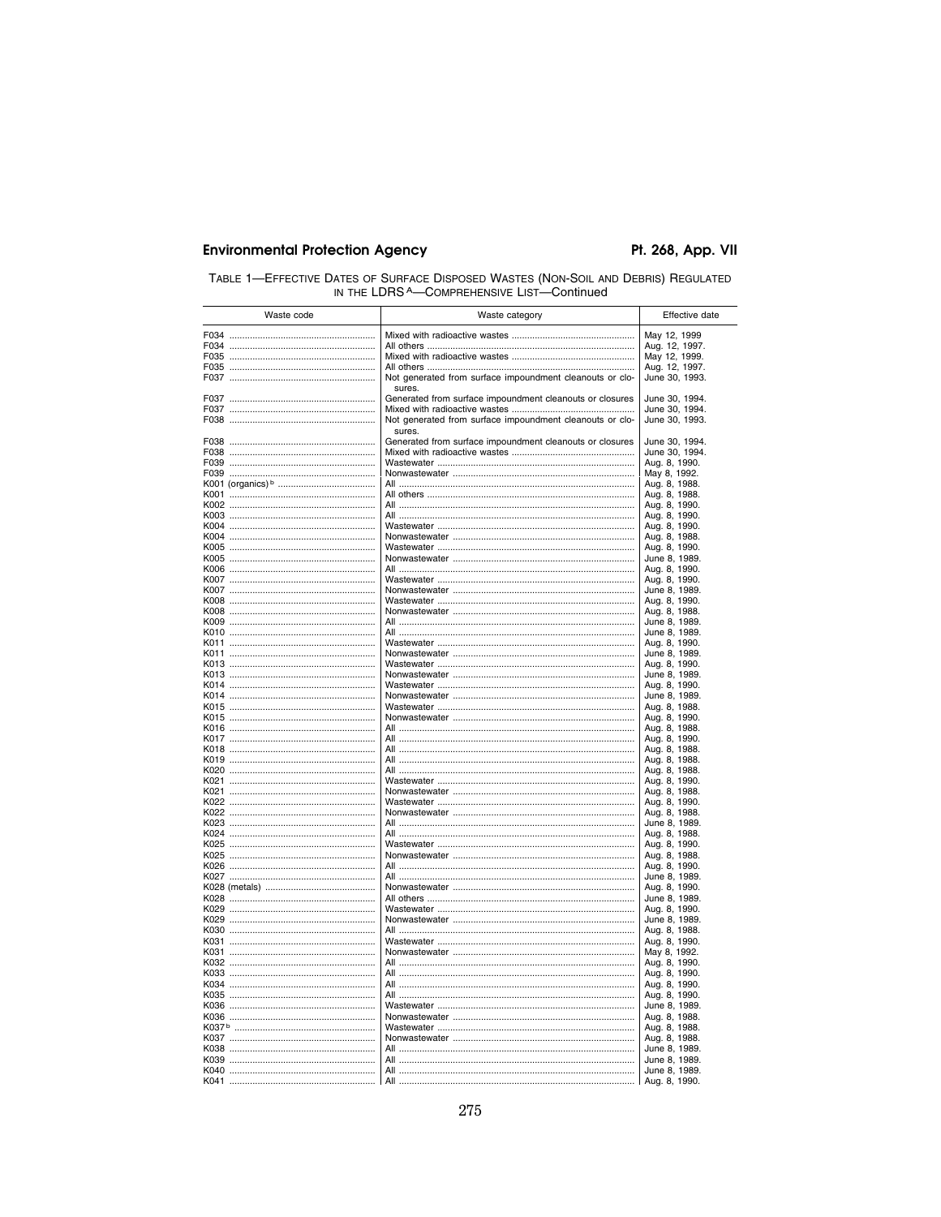| TABLE 1-EFFECTIVE DATES OF SURFACE DISPOSED WASTES (NON-SOIL AND DEBRIS) REGULATED |
|------------------------------------------------------------------------------------|
| IN THE LDRS A—COMPREHENSIVE LIST—Continued                                         |

| Waste code | Waste category                                                     | Effective date                 |
|------------|--------------------------------------------------------------------|--------------------------------|
|            |                                                                    | May 12, 1999                   |
|            |                                                                    | Aug. 12, 1997.                 |
|            |                                                                    | May 12, 1999.                  |
|            |                                                                    | Aug. 12, 1997.                 |
|            | Not generated from surface impoundment cleanouts or clo-<br>sures. | June 30, 1993.                 |
|            | Generated from surface impoundment cleanouts or closures           | June 30, 1994.                 |
|            |                                                                    | June 30, 1994.                 |
|            | Not generated from surface impoundment cleanouts or clo-<br>sures. | June 30, 1993.                 |
|            | Generated from surface impoundment cleanouts or closures           | June 30, 1994.                 |
|            |                                                                    | June 30, 1994.                 |
|            |                                                                    | Aug. 8, 1990.                  |
|            |                                                                    | May 8, 1992.                   |
|            |                                                                    | Aug. 8, 1988.                  |
|            |                                                                    | Aug. 8, 1988.<br>Aug. 8, 1990. |
|            |                                                                    | Aug. 8, 1990.                  |
|            |                                                                    | Aug. 8, 1990.                  |
|            |                                                                    | Aug. 8, 1988.                  |
|            |                                                                    | Aug. 8, 1990.                  |
|            |                                                                    | June 8, 1989.                  |
|            |                                                                    | Aug. 8, 1990.                  |
|            |                                                                    | Aug. 8, 1990.                  |
|            |                                                                    | June 8, 1989.                  |
|            |                                                                    | Aug. 8, 1990.                  |
|            |                                                                    | Aug. 8, 1988.                  |
|            |                                                                    | June 8, 1989.                  |
|            |                                                                    | June 8, 1989.                  |
|            |                                                                    | Aug. 8, 1990.                  |
|            |                                                                    | June 8, 1989.                  |
|            |                                                                    | Aug. 8, 1990.                  |
|            |                                                                    | June 8, 1989.                  |
|            |                                                                    | Aug. 8, 1990.                  |
|            |                                                                    | June 8, 1989.                  |
|            |                                                                    | Aug. 8, 1988.                  |
|            |                                                                    | Aug. 8, 1990.                  |
|            |                                                                    | Aug. 8, 1988.                  |
|            |                                                                    | Aug. 8, 1990.<br>Aug. 8, 1988. |
|            |                                                                    | Aug. 8, 1988.                  |
|            |                                                                    | Aug. 8, 1988.                  |
|            |                                                                    | Aug. 8, 1990.                  |
|            |                                                                    | Aug. 8, 1988.                  |
|            |                                                                    | Aug. 8, 1990.                  |
|            |                                                                    | Aug. 8, 1988.                  |
|            |                                                                    | June 8, 1989.                  |
|            |                                                                    | Aug. 8, 1988.                  |
|            |                                                                    | Aug. 8, 1990.                  |
|            |                                                                    | Aug. 8, 1988.                  |
|            |                                                                    | Aug. 8, 1990.                  |
|            |                                                                    | June 8, 1989.                  |
|            |                                                                    | Aug. 8, 1990.                  |
|            |                                                                    | June 8, 1989.                  |
|            |                                                                    | Aug. 8, 1990.                  |
|            |                                                                    | June 8, 1989.                  |
|            |                                                                    | Aug. 8, 1988.                  |
|            |                                                                    | Aug. 8, 1990.                  |
|            |                                                                    | May 8, 1992.                   |
|            |                                                                    | Aug. 8, 1990.                  |
|            |                                                                    | Aug. 8, 1990.<br>Aug. 8, 1990. |
|            |                                                                    |                                |
|            |                                                                    | Aug. 8, 1990.<br>June 8, 1989. |
|            |                                                                    | Aug. 8, 1988.                  |
|            |                                                                    | Aug. 8, 1988.                  |
|            |                                                                    |                                |
|            |                                                                    | Aug. 8, 1988.<br>June 8, 1989. |
|            |                                                                    | June 8, 1989.                  |
|            |                                                                    | June 8, 1989.                  |
|            | All                                                                | Aug. 8, 1990.                  |
|            |                                                                    |                                |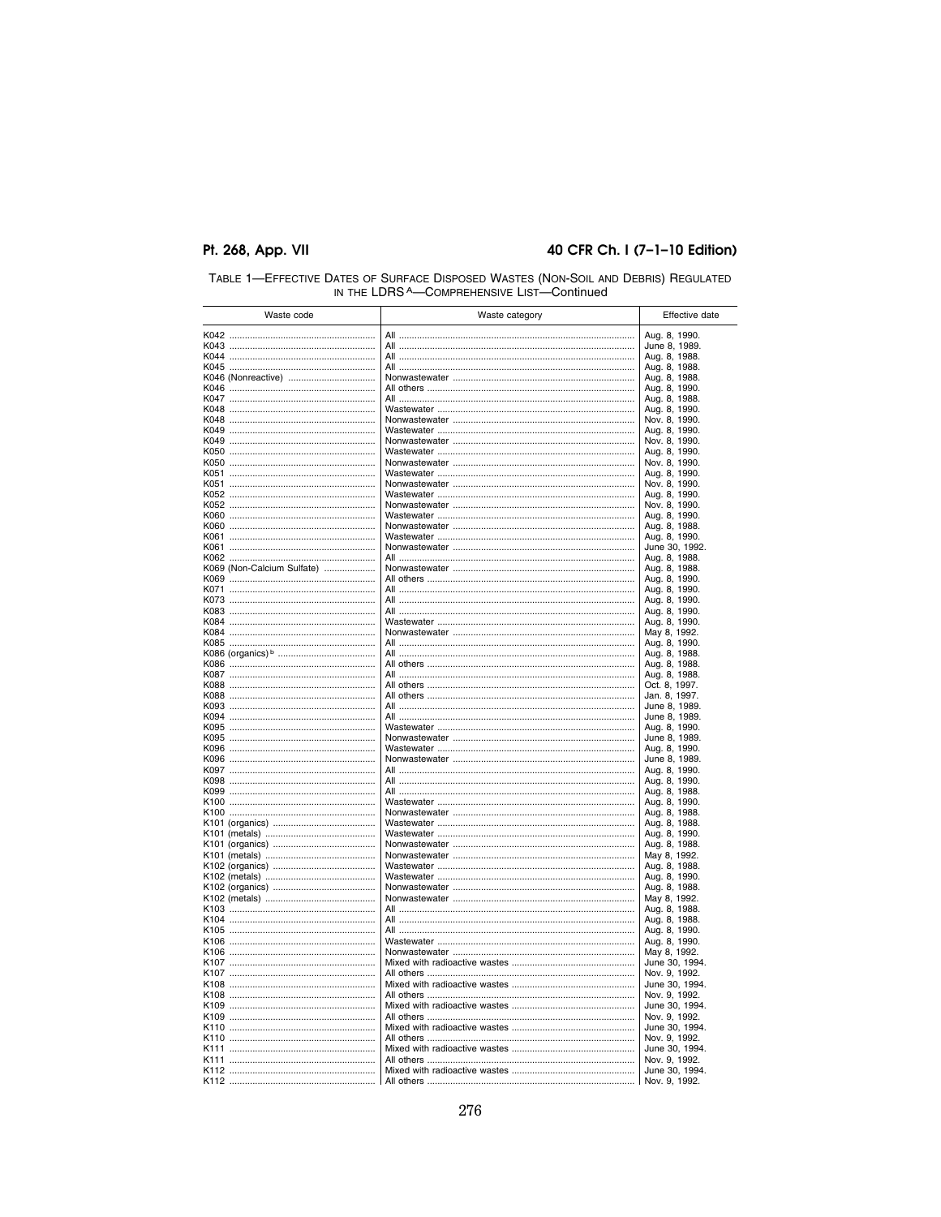#### 40 CFR Ch. I (7-1-10 Edition)

| Waste code                 | Waste category | Effective date                  |
|----------------------------|----------------|---------------------------------|
|                            |                | Aug. 8, 1990.                   |
|                            |                | June 8, 1989.                   |
|                            |                | Aug. 8, 1988.                   |
|                            |                | Aug. 8, 1988.                   |
| K046 (Nonreactive)         |                | Aug. 8, 1988.                   |
|                            |                | Aug. 8, 1990.                   |
|                            |                | Aug. 8, 1988.<br>Aug. 8, 1990.  |
|                            |                | Nov. 8, 1990.                   |
|                            |                | Aug. 8, 1990.                   |
|                            |                | Nov. 8, 1990.                   |
|                            |                | Aug. 8, 1990.                   |
|                            |                | Nov. 8, 1990.                   |
|                            |                | Aug. 8, 1990.                   |
|                            |                | Nov. 8, 1990.                   |
|                            |                | Aug. 8, 1990.                   |
|                            |                | Nov. 8, 1990.<br>Aug. 8, 1990.  |
|                            |                | Aug. 8, 1988.                   |
|                            |                | Aug. 8, 1990.                   |
|                            |                | June 30, 1992.                  |
|                            |                | Aug. 8, 1988.                   |
| K069 (Non-Calcium Sulfate) |                | Aug. 8, 1988.                   |
|                            |                | Aug. 8, 1990.                   |
|                            |                | Aug. 8, 1990.                   |
|                            |                | Aug. 8, 1990.                   |
|                            |                | Aug. 8, 1990.<br>Aug. 8, 1990.  |
|                            |                | May 8, 1992.                    |
|                            |                | Aug. 8, 1990.                   |
|                            |                | Aug. 8, 1988.                   |
|                            |                | Aug. 8, 1988.                   |
|                            |                | Aug. 8, 1988.                   |
|                            |                | Oct. 8, 1997.                   |
|                            |                | Jan. 8, 1997.                   |
|                            |                | June 8, 1989.<br>June 8, 1989.  |
|                            |                | Aug. 8, 1990.                   |
|                            |                | June 8, 1989.                   |
|                            |                | Aug. 8, 1990.                   |
|                            |                | June 8, 1989.                   |
|                            |                | Aug. 8, 1990.                   |
|                            |                | Aug. 8, 1990.                   |
|                            |                | Aug. 8, 1988.<br>Aug. 8, 1990.  |
|                            |                | Aug. 8, 1988.                   |
|                            |                | Aug. 8, 1988.                   |
|                            |                | Aug. 8, 1990.                   |
|                            |                | Aug. 8, 1988.                   |
|                            |                | May 8, 1992.                    |
|                            |                | Aug. 8, 1988.                   |
|                            |                | Aug. 8, 1990.                   |
|                            |                | Aug. 8, 1988.                   |
|                            |                | May 8, 1992.<br>Aug. 8, 1988.   |
|                            |                | Aug. 8, 1988.                   |
|                            |                | Aug. 8, 1990.                   |
|                            |                | Aug. 8, 1990.                   |
|                            |                | May 8, 1992.                    |
|                            |                | June 30, 1994.                  |
|                            |                | Nov. 9, 1992.                   |
|                            |                | June 30, 1994.                  |
|                            |                | Nov. 9, 1992.                   |
|                            |                | June 30, 1994.<br>Nov. 9, 1992. |
|                            |                | June 30, 1994.                  |
|                            |                | Nov. 9, 1992.                   |
|                            |                | June 30, 1994.                  |
|                            |                | Nov. 9, 1992.                   |
|                            |                | June 30, 1994.                  |
|                            |                | Nov. 9, 1992.                   |

# TABLE 1—EFFECTIVE DATES OF SURFACE DISPOSED WASTES (NON-SOIL AND DEBRIS) REGULATED<br>IN THE LDRS A—COMPREHENSIVE LIST—Continued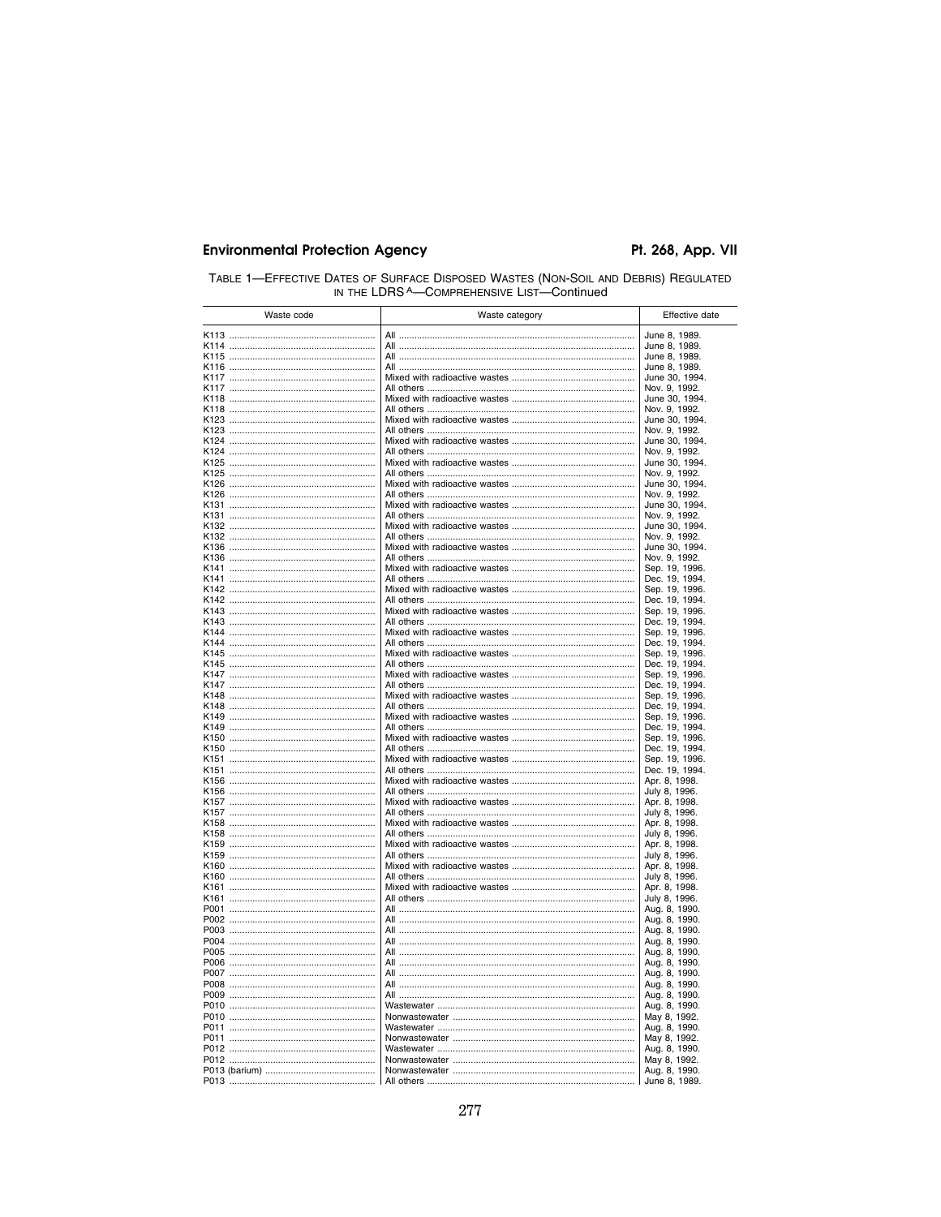| TABLE 1-EFFECTIVE DATES OF SURFACE DISPOSED WASTES (NON-SOIL AND DEBRIS) REGULATED |  |  |  |
|------------------------------------------------------------------------------------|--|--|--|
| IN THE LDRS A-COMPREHENSIVE LIST-Continued                                         |  |  |  |

| Waste code | Waste category | Effective date                   |
|------------|----------------|----------------------------------|
|            |                | June 8, 1989.                    |
|            |                | June 8, 1989.                    |
|            |                | June 8, 1989.                    |
|            |                | June 8, 1989.                    |
|            |                | June 30, 1994.                   |
|            |                | Nov. 9, 1992.                    |
|            |                | June 30, 1994.                   |
|            |                | Nov. 9, 1992.                    |
|            |                | June 30, 1994.                   |
|            |                | Nov. 9, 1992.                    |
|            |                | June 30, 1994.                   |
|            |                | Nov. 9, 1992.                    |
|            |                | June 30, 1994.                   |
|            |                | Nov. 9, 1992.<br>June 30, 1994.  |
|            |                | Nov. 9, 1992.                    |
|            |                | June 30, 1994.                   |
|            |                | Nov. 9, 1992.                    |
|            |                | June 30, 1994.                   |
|            |                | Nov. 9, 1992.                    |
|            |                | June 30, 1994.                   |
|            |                | Nov. 9, 1992.                    |
|            |                | Sep. 19, 1996.                   |
|            |                | Dec. 19, 1994.                   |
|            |                | Sep. 19, 1996.                   |
|            |                | Dec. 19, 1994.                   |
|            |                | Sep. 19, 1996.<br>Dec. 19, 1994. |
|            |                | Sep. 19, 1996.                   |
|            |                | Dec. 19, 1994.                   |
|            |                | Sep. 19, 1996.                   |
|            |                | Dec. 19, 1994.                   |
|            |                | Sep. 19, 1996.                   |
|            |                | Dec. 19, 1994.                   |
|            |                | Sep. 19, 1996.                   |
|            |                | Dec. 19, 1994.                   |
|            |                | Sep. 19, 1996.<br>Dec. 19, 1994. |
|            |                | Sep. 19, 1996.                   |
|            |                | Dec. 19, 1994.                   |
|            |                | Sep. 19, 1996.                   |
|            |                | Dec. 19, 1994.                   |
|            |                | Apr. 8, 1998.                    |
|            |                | July 8, 1996.                    |
|            |                | Apr. 8, 1998.                    |
|            |                | July 8, 1996.<br>Apr. 8, 1998.   |
|            |                | July 8, 1996.                    |
|            |                | Apr. 8, 1998.                    |
|            |                | July 8, 1996.                    |
|            |                | Apr. 8, 1998.                    |
|            |                | July 8, 1996.                    |
|            |                | Apr. 8, 1998.                    |
|            |                | July 8, 1996.                    |
|            |                | Aug. 8, 1990.                    |
|            |                | Aug. 8, 1990.                    |
|            |                | Aug. 8, 1990.                    |
|            |                | Aug. 8, 1990.<br>Aug. 8, 1990.   |
|            |                | Aug. 8, 1990.                    |
|            |                | Aug. 8, 1990.                    |
|            |                | Aug. 8, 1990.                    |
|            |                | Aug. 8, 1990.                    |
|            |                | Aug. 8, 1990.                    |
|            |                | May 8, 1992.                     |
|            |                | Aug. 8, 1990.                    |
|            |                | May 8, 1992.                     |
|            |                | Aug. 8, 1990.                    |
|            |                | May 8, 1992.                     |
|            |                | Aug. 8, 1990.                    |
|            |                | June 8, 1989.                    |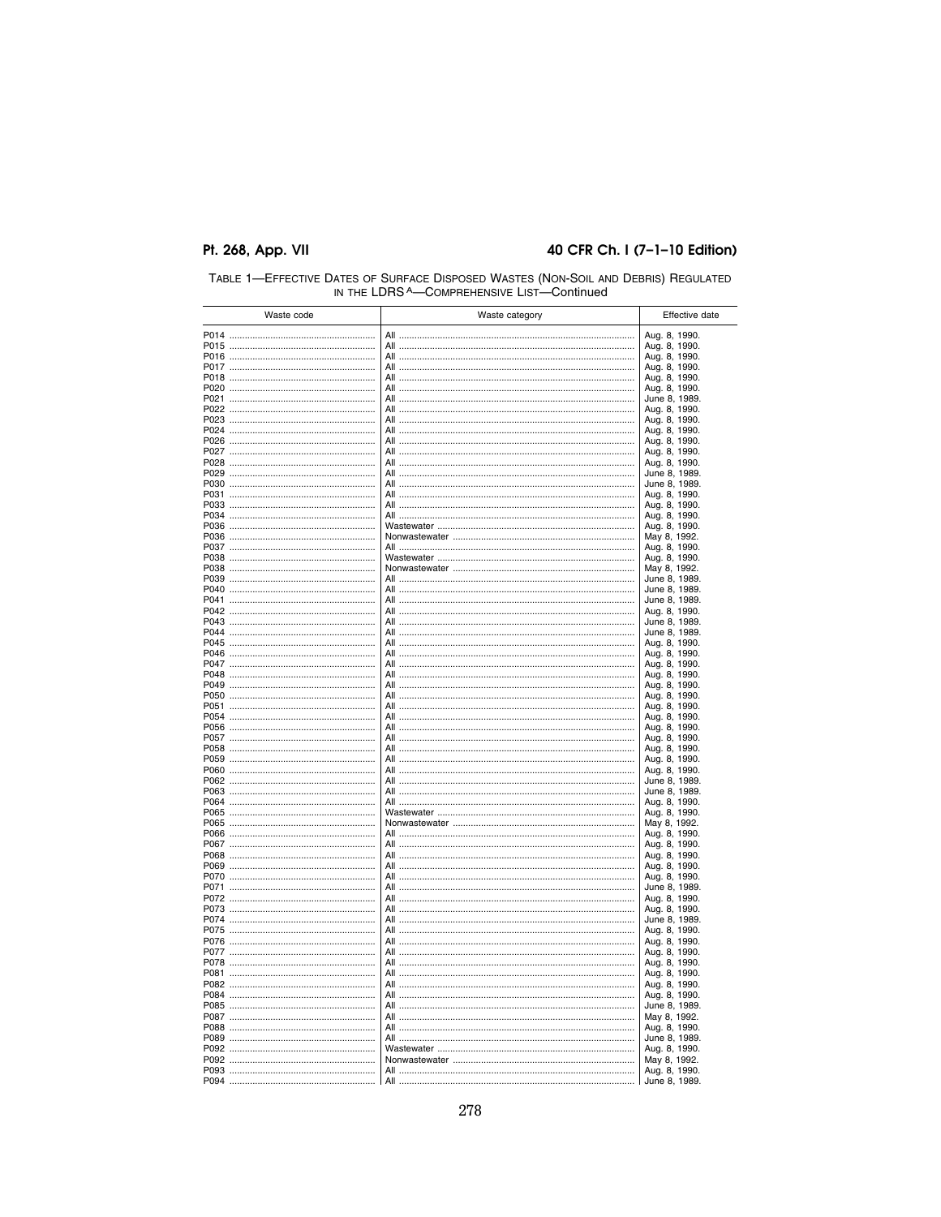#### 40 CFR Ch. I (7-1-10 Edition)

|      | Waste code | Waste category | Effective date                 |
|------|------------|----------------|--------------------------------|
|      |            |                | Aug. 8, 1990.                  |
|      |            |                | Aug. 8, 1990.                  |
|      |            |                | Aug. 8, 1990.                  |
|      |            |                | Aug. 8, 1990.                  |
|      |            |                | Aug. 8, 1990.                  |
|      |            |                | Aug. 8, 1990.                  |
|      |            |                | June 8, 1989.                  |
|      |            |                | Aug. 8, 1990.                  |
|      |            |                | Aug. 8, 1990.                  |
|      |            |                | Aug. 8, 1990.                  |
|      |            |                | Aug. 8, 1990.                  |
|      |            |                | Aug. 8, 1990.                  |
|      |            |                | Aug. 8, 1990.                  |
|      |            |                | June 8, 1989.                  |
|      |            |                | June 8, 1989.<br>Aug. 8, 1990. |
|      |            |                | Aug. 8, 1990.                  |
|      |            |                | Aug. 8, 1990.                  |
|      |            |                | Aug. 8, 1990.                  |
|      |            |                | May 8, 1992.                   |
|      |            |                | Aug. 8, 1990.                  |
|      |            |                | Aug. 8, 1990.                  |
|      |            |                | May 8, 1992.                   |
|      |            |                | June 8, 1989.                  |
|      |            |                | June 8, 1989.                  |
|      |            |                | June 8, 1989.                  |
|      |            |                | Aug. 8, 1990.                  |
|      |            |                | June 8, 1989.                  |
|      |            |                | June 8, 1989.                  |
|      |            |                | Aug. 8, 1990.                  |
|      |            |                | Aug. 8, 1990.                  |
|      |            |                | Aug. 8, 1990.                  |
|      |            |                | Aug. 8, 1990.                  |
|      |            |                | Aug. 8, 1990.                  |
|      |            |                | Aug. 8, 1990.                  |
|      |            |                | Aug. 8, 1990.                  |
|      |            |                | Aug. 8, 1990.                  |
|      |            |                | Aug. 8, 1990.<br>Aug. 8, 1990. |
|      |            |                | Aug. 8, 1990.                  |
|      |            |                | Aug. 8, 1990.                  |
|      |            |                | Aug. 8, 1990.                  |
|      |            |                | June 8, 1989.                  |
|      |            |                | June 8, 1989.                  |
|      |            |                | Aug. 8, 1990.                  |
|      |            |                | Aug. 8, 1990.                  |
|      |            |                | May 8, 1992.                   |
|      |            |                | Aug. 8, 1990.                  |
|      |            |                | Aug. 8, 1990.                  |
|      |            |                | Aug. 8, 1990.                  |
|      |            |                | Aug. 8, 1990.                  |
|      |            |                | Aug. 8, 1990.                  |
|      |            |                | June 8, 1989.                  |
|      |            |                | Aug. 8, 1990.                  |
|      |            |                | Aug. 8, 1990.<br>June 8, 1989. |
| P075 |            |                | Aug. 8, 1990.                  |
|      |            |                | Aug. 8, 1990.                  |
|      |            |                | Aug. 8, 1990.                  |
| P078 |            |                | Aug. 8, 1990.                  |
|      |            |                | Aug. 8, 1990.                  |
|      |            |                | Aug. 8, 1990.                  |
|      |            |                | Aug. 8, 1990.                  |
|      |            |                | June 8, 1989.                  |
|      |            |                | May 8, 1992.                   |
|      |            |                | Aug. 8, 1990.                  |
|      |            |                | June 8, 1989.                  |
|      |            |                | Aug. 8, 1990.                  |
|      |            |                | May 8, 1992.                   |
|      |            |                | Aug. 8, 1990.                  |
|      |            |                | June 8, 1989.                  |

# TABLE 1—EFFECTIVE DATES OF SURFACE DISPOSED WASTES (NON-SOIL AND DEBRIS) REGULATED<br>IN THE LDRS A—COMPREHENSIVE LIST—Continued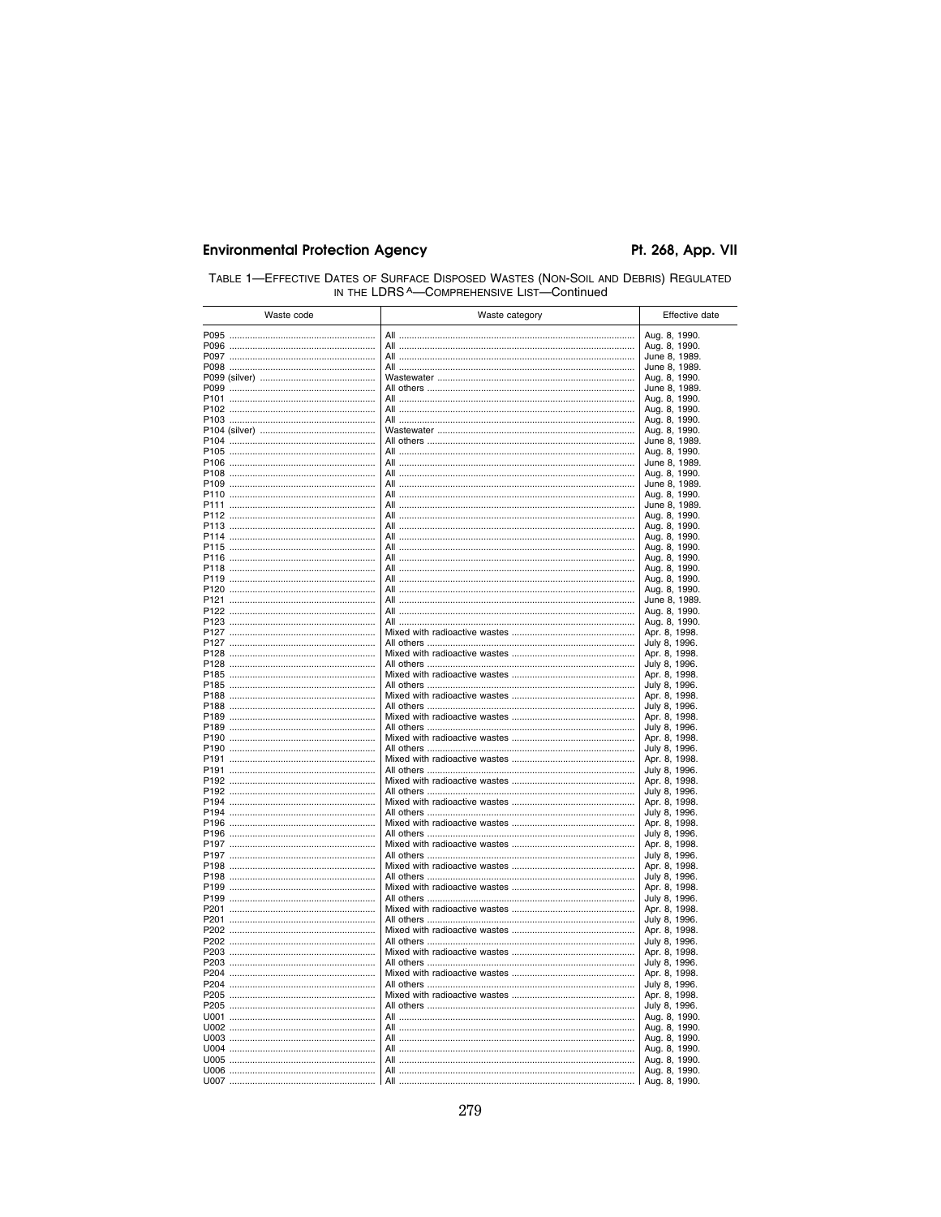| TABLE 1-EFFECTIVE DATES OF SURFACE DISPOSED WASTES (NON-SOIL AND DEBRIS) REGULATED |  |  |
|------------------------------------------------------------------------------------|--|--|
| IN THE LDRS A—COMPREHENSIVE LIST—Continued                                         |  |  |

| Waste code | Waste category | Effective date                 |
|------------|----------------|--------------------------------|
|            |                | Aug. 8, 1990.                  |
|            |                | Aug. 8, 1990.                  |
|            |                | June 8, 1989.                  |
|            |                | June 8, 1989.                  |
|            |                | Aug. 8, 1990.                  |
|            |                | June 8, 1989.                  |
|            |                | Aug. 8, 1990.<br>Aug. 8, 1990. |
|            |                | Aug. 8, 1990.                  |
|            |                | Aug. 8, 1990.                  |
|            |                | June 8, 1989.                  |
|            |                | Aug. 8, 1990.                  |
|            |                | June 8, 1989.                  |
|            |                | Aug. 8, 1990.                  |
|            |                | June 8, 1989.                  |
|            |                | Aug. 8, 1990.<br>June 8, 1989. |
|            |                | Aug. 8, 1990.                  |
|            |                | Aug. 8, 1990.                  |
|            |                | Aug. 8, 1990.                  |
|            |                | Aug. 8, 1990.                  |
|            |                | Aug. 8, 1990.                  |
|            |                | Aug. 8, 1990.                  |
|            |                | Aug. 8, 1990.                  |
|            |                | Aug. 8, 1990.                  |
|            |                | June 8, 1989.<br>Aug. 8, 1990. |
|            |                | Aug. 8, 1990.                  |
|            |                | Apr. 8, 1998.                  |
|            |                | July 8, 1996.                  |
|            |                | Apr. 8, 1998.                  |
|            |                | July 8, 1996.                  |
|            |                | Apr. 8, 1998.                  |
|            |                | July 8, 1996.                  |
|            |                | Apr. 8, 1998.                  |
|            |                | July 8, 1996.<br>Apr. 8, 1998. |
|            |                | July 8, 1996.                  |
|            |                | Apr. 8, 1998.                  |
|            |                | July 8, 1996.                  |
|            |                | Apr. 8, 1998.                  |
|            |                | July 8, 1996.                  |
|            |                | Apr. 8, 1998.                  |
|            |                | July 8, 1996.                  |
|            |                | Apr. 8, 1998.                  |
|            |                | July 8, 1996.<br>Apr. 8, 1998. |
|            |                | July 8, 1996.                  |
|            |                | Apr. 8, 1998.                  |
|            |                | July 8, 1996.                  |
|            |                | Apr. 8, 1998.                  |
|            |                | July 8, 1996.                  |
|            |                | Apr. 8, 1998.                  |
|            |                | July 8, 1996.                  |
|            |                | Apr. 8, 1998.                  |
|            |                | July 8, 1996.<br>Apr. 8, 1998. |
|            |                | July 8, 1996.                  |
|            |                | Apr. 8, 1998.                  |
|            |                | July 8, 1996.                  |
|            |                | Apr. 8, 1998.                  |
|            |                | July 8, 1996.                  |
|            |                | Apr. 8, 1998.                  |
|            |                | July 8, 1996.                  |
|            |                | Aug. 8, 1990.                  |
|            |                | Aug. 8, 1990.                  |
|            |                | Aug. 8, 1990.                  |
|            |                | Aug. 8, 1990.<br>Aug. 8, 1990. |
|            |                | Aug. 8, 1990.                  |
|            |                | Aug. 8, 1990.                  |
|            |                |                                |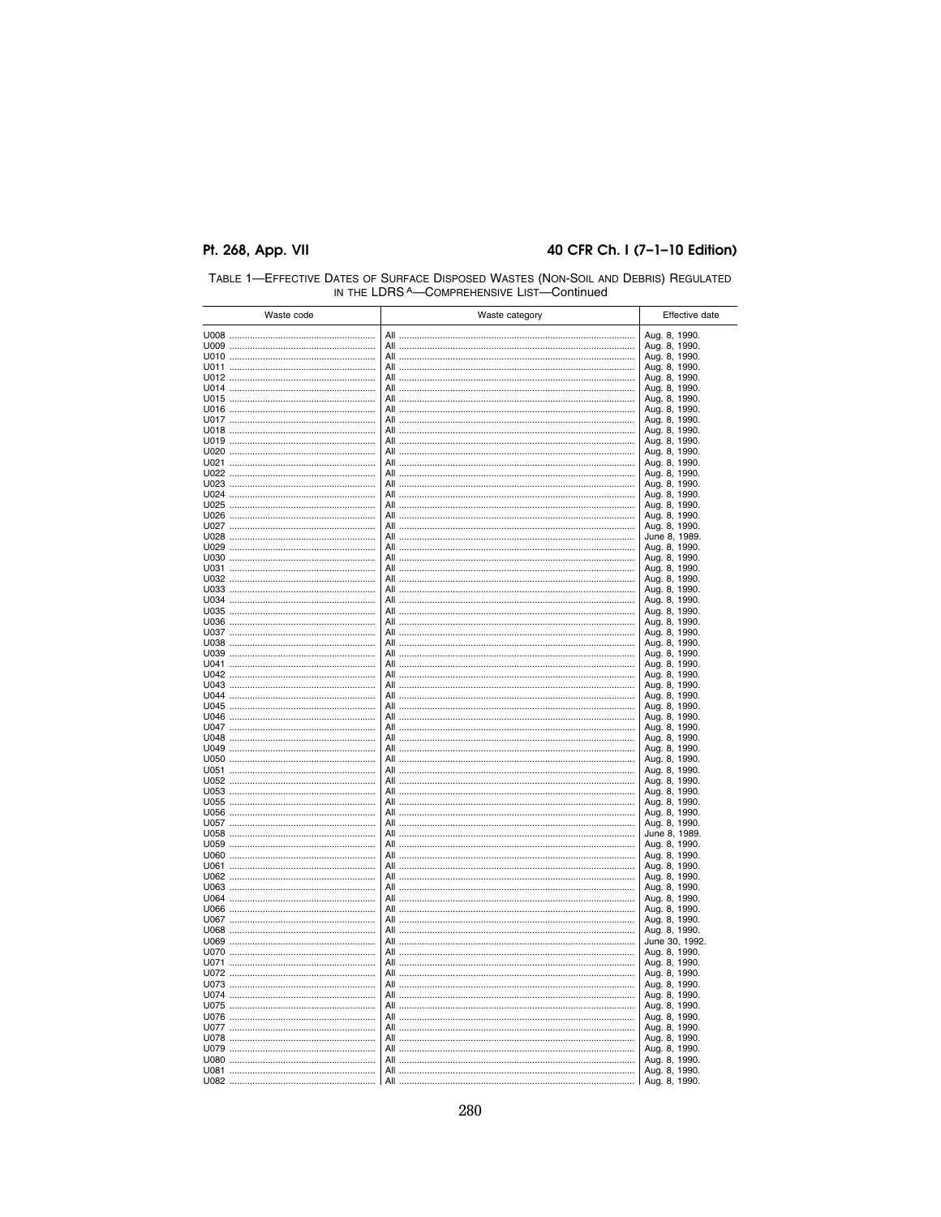### 40 CFR Ch. I (7-1-10 Edition)

| Waste code | Waste category |                                | Effective date |
|------------|----------------|--------------------------------|----------------|
|            |                | Aug. 8, 1990.                  |                |
|            |                | Aug. 8, 1990.                  |                |
|            |                | Aug. 8, 1990.                  |                |
|            |                | Aug. 8, 1990.                  |                |
|            |                | Aug. 8, 1990.                  |                |
|            |                | Aug. 8, 1990.                  |                |
|            |                | Aug. 8, 1990.                  |                |
|            |                | Aug. 8, 1990.                  |                |
|            |                | Aug. 8, 1990.                  |                |
|            |                | Aug. 8, 1990.                  |                |
|            |                | Aug. 8, 1990.                  |                |
|            |                | Aug. 8, 1990.                  |                |
|            |                | Aug. 8, 1990.                  |                |
|            |                | Aug. 8, 1990.                  |                |
|            |                | Aug. 8, 1990.                  |                |
|            |                | Aug. 8, 1990.                  |                |
|            |                | Aug. 8, 1990.                  |                |
|            |                | Aug. 8, 1990.                  |                |
|            |                | Aug. 8, 1990.                  |                |
|            |                | June 8, 1989.                  |                |
|            |                | Aug. 8, 1990.                  |                |
|            |                | Aug. 8, 1990.                  |                |
|            |                | Aug. 8, 1990.                  |                |
|            |                | Aug. 8, 1990.                  |                |
|            |                | Aug. 8, 1990.<br>Aug. 8, 1990. |                |
|            |                | Aug. 8, 1990.                  |                |
|            |                | Aug. 8, 1990.                  |                |
|            |                | Aug. 8, 1990.                  |                |
|            |                | Aug. 8, 1990.                  |                |
|            |                | Aug. 8, 1990.                  |                |
|            |                | Aug. 8, 1990.                  |                |
|            |                | Aug. 8, 1990.                  |                |
|            |                | Aug. 8, 1990.                  |                |
|            |                | Aug. 8, 1990.                  |                |
|            |                | Aug. 8, 1990.                  |                |
|            |                | Aug. 8, 1990.                  |                |
|            |                | Aug. 8, 1990.                  |                |
|            |                | Aug. 8, 1990.                  |                |
|            |                | Aug. 8, 1990.                  |                |
|            |                | Aug. 8, 1990.                  |                |
|            |                | Aug. 8, 1990.                  |                |
|            |                | Aug. 8, 1990.                  |                |
|            |                | Aug. 8, 1990.                  |                |
|            |                | Aug. 8, 1990.                  |                |
|            |                | Aug. 8, 1990.                  |                |
|            |                | Aug. 8, 1990.                  |                |
|            |                | June 8, 1989.                  |                |
|            |                | Aug. 8, 1990.                  |                |
|            |                | Aug. 8, 1990.                  |                |
|            |                | Aug. 8, 1990.                  |                |
|            |                | Aug. 8, 1990.                  |                |
|            |                | Aug. 8, 1990.                  |                |
|            |                | Aug. 8, 1990.                  |                |
|            |                | Aug. 8, 1990.                  |                |
|            |                | Aug. 8, 1990.                  |                |
|            |                | Aug. 8, 1990.                  |                |
|            |                | June 30, 1992.                 |                |
|            |                | Aug. 8, 1990.                  |                |
|            |                | Aug. 8, 1990.                  |                |
|            |                | Aug. 8, 1990.                  |                |
|            |                | Aug. 8, 1990.                  |                |
|            |                | Aug. 8, 1990.                  |                |
|            |                | Aug. 8, 1990.                  |                |
|            |                | Aug. 8, 1990.                  |                |
|            |                | Aug. 8, 1990.                  |                |
|            |                | Aug. 8, 1990.                  |                |
|            |                | Aug. 8, 1990.                  |                |
|            |                | Aug. 8, 1990.                  |                |
|            |                | Aug. 8, 1990.                  |                |
|            |                | Aug. 8, 1990.                  |                |

| TABLE 1-EFFECTIVE DATES OF SURFACE DISPOSED WASTES (NON-SOIL AND DEBRIS) REGULATED |  |
|------------------------------------------------------------------------------------|--|
| IN THE LDBS A-COMPREHENSIVE LIST-Continued                                         |  |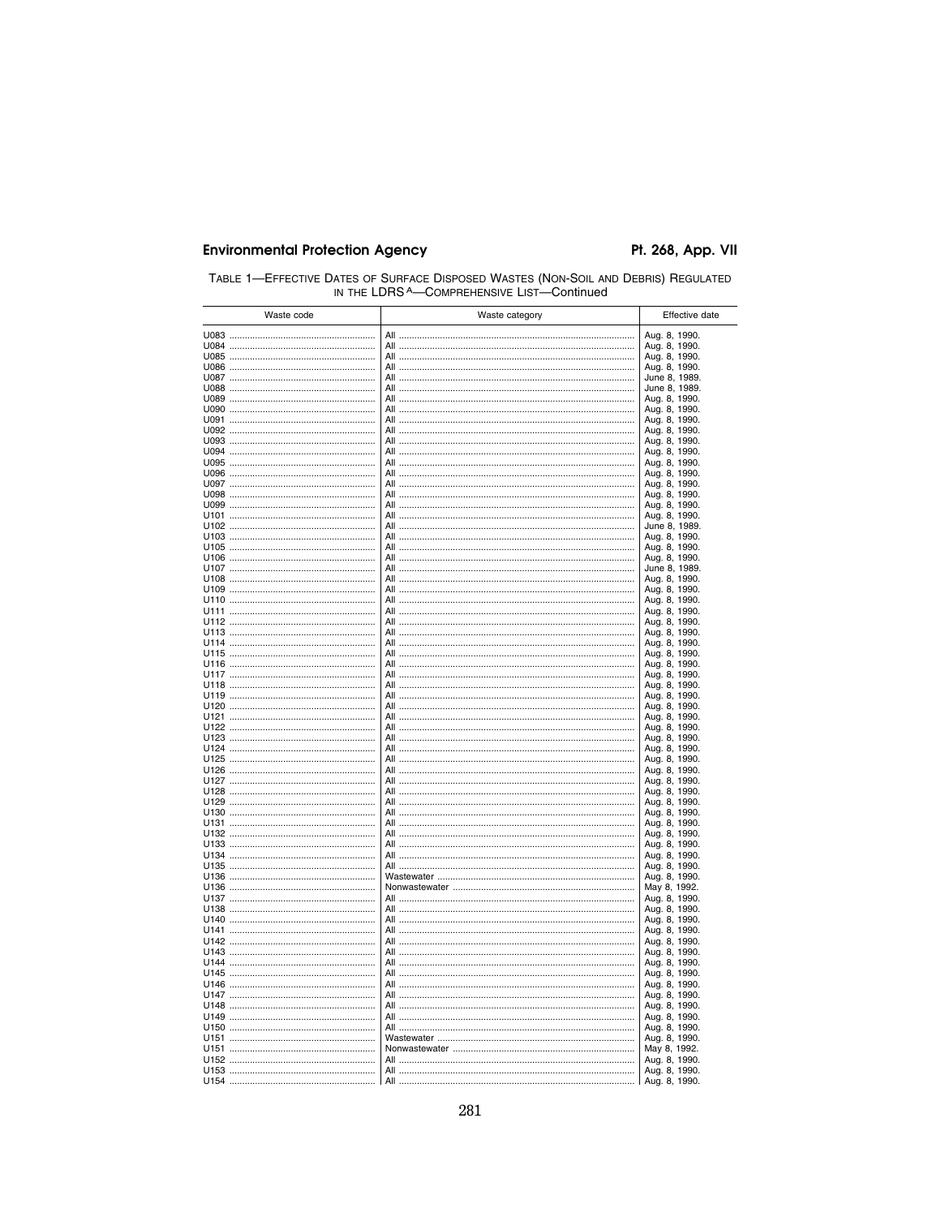| TABLE 1-EFFECTIVE DATES OF SURFACE DISPOSED WASTES (NON-SOIL AND DEBRIS) REGULATED |  |  |
|------------------------------------------------------------------------------------|--|--|
| IN THE LDRS A—COMPREHENSIVE LIST—Continued                                         |  |  |

| Waste code | Waste category | Effective date                 |
|------------|----------------|--------------------------------|
|            |                | Aug. 8, 1990.                  |
|            |                | Aug. 8, 1990.                  |
|            |                | Aug. 8, 1990.                  |
|            |                | Aug. 8, 1990.                  |
|            |                | June 8, 1989.                  |
|            |                | June 8, 1989.                  |
|            |                | Aug. 8, 1990.                  |
|            |                | Aug. 8, 1990.                  |
|            |                | Aug. 8, 1990.<br>Aug. 8, 1990. |
|            |                | Aug. 8, 1990.                  |
|            |                | Aug. 8, 1990.                  |
|            |                | Aug. 8, 1990.                  |
|            |                | Aug. 8, 1990.                  |
|            |                | Aug. 8, 1990.                  |
|            |                | Aug. 8, 1990.                  |
|            |                | Aug. 8, 1990.                  |
|            |                | Aug. 8, 1990.                  |
|            |                | June 8, 1989.<br>Aug. 8, 1990. |
|            |                | Aug. 8, 1990.                  |
|            |                | Aug. 8, 1990.                  |
|            |                | June 8, 1989.                  |
|            |                | Aug. 8, 1990.                  |
|            |                | Aug. 8, 1990.                  |
|            |                | Aug. 8, 1990.                  |
|            |                | Aug. 8, 1990.                  |
|            |                | Aug. 8, 1990.                  |
|            |                | Aug. 8, 1990.                  |
|            |                | Aug. 8, 1990.<br>Aug. 8, 1990. |
|            |                | Aug. 8, 1990.                  |
|            |                | Aug. 8, 1990.                  |
|            |                | Aug. 8, 1990.                  |
|            |                | Aug. 8, 1990.                  |
|            |                | Aug. 8, 1990.                  |
|            |                | Aug. 8, 1990.                  |
|            |                | Aug. 8, 1990.                  |
|            |                | Aug. 8, 1990.<br>Aug. 8, 1990. |
|            |                | Aug. 8, 1990.                  |
|            | All            | Aug. 8, 1990.                  |
|            | All            | Aug. 8, 1990.                  |
|            | All            | Aug. 8, 1990.                  |
|            |                | Aug. 8, 1990.                  |
|            | All            | Aug. 8, 1990.                  |
|            | All            | Aug. 8, 1990.                  |
|            |                | Aug. 8, 1990.                  |
|            |                | Aug. 8, 1990.<br>Aug. 8, 1990. |
|            |                | Aug. 8, 1990.                  |
|            |                | Aug. 8, 1990.                  |
|            |                | May 8, 1992.                   |
|            |                | Aug. 8, 1990.                  |
|            |                | Aug. 8, 1990.                  |
|            |                | Aug. 8, 1990.                  |
|            |                | Aug. 8, 1990.                  |
|            |                | Aug. 8, 1990.                  |
|            |                | Aug. 8, 1990.                  |
|            |                | Aug. 8, 1990.<br>Aug. 8, 1990. |
|            |                | Aug. 8, 1990.                  |
|            |                | Aug. 8, 1990.                  |
|            |                | Aug. 8, 1990.                  |
|            |                | Aug. 8, 1990.                  |
|            |                | Aug. 8, 1990.                  |
|            |                | Aug. 8, 1990.                  |
|            |                | May 8, 1992.                   |
|            |                | Aug. 8, 1990.                  |
|            |                | Aug. 8, 1990.                  |
|            | All            | Aug. 8, 1990.                  |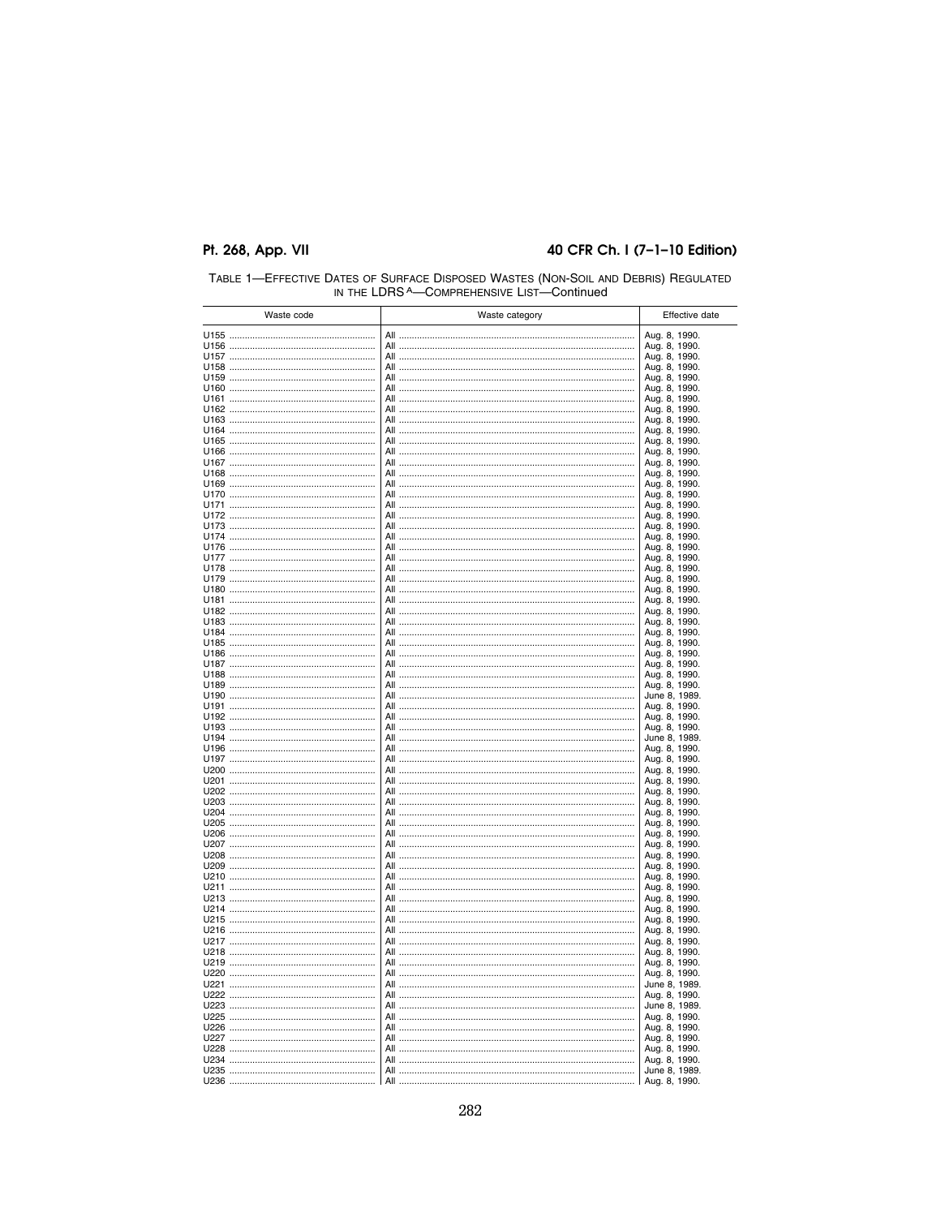#### 40 CFR Ch. I (7-1-10 Edition)

| Waste code | Waste category | Effective date                 |
|------------|----------------|--------------------------------|
|            |                | Aug. 8, 1990.                  |
|            |                | Aug. 8, 1990.                  |
|            |                | Aug. 8, 1990.                  |
|            |                | Aug. 8, 1990.                  |
|            |                | Aug. 8, 1990.                  |
|            |                | Aug. 8, 1990.                  |
|            |                | Aug. 8, 1990.<br>Aug. 8, 1990. |
|            |                | Aug. 8, 1990.                  |
|            |                | Aug. 8, 1990.                  |
|            |                | Aug. 8, 1990.                  |
|            |                | Aug. 8, 1990.                  |
|            |                | Aug. 8, 1990.                  |
|            |                | Aug. 8, 1990.                  |
|            |                | Aug. 8, 1990.                  |
|            |                | Aug. 8, 1990.<br>Aug. 8, 1990. |
|            |                | Aug. 8, 1990.                  |
|            |                | Aug. 8, 1990.                  |
|            |                | Aug. 8, 1990.                  |
|            |                | Aug. 8, 1990.                  |
|            |                | Aug. 8, 1990.                  |
|            |                | Aug. 8, 1990.                  |
|            |                | Aug. 8, 1990.<br>Aug. 8, 1990. |
|            |                | Aug. 8, 1990.                  |
|            |                | Aug. 8, 1990.                  |
|            |                | Aug. 8, 1990.                  |
|            |                | Aug. 8, 1990.                  |
|            |                | Aug. 8, 1990.                  |
|            |                | Aug. 8, 1990.                  |
|            |                | Aug. 8, 1990.<br>Aug. 8, 1990. |
|            |                | Aug. 8, 1990.                  |
|            |                | June 8, 1989.                  |
|            |                | Aug. 8, 1990.                  |
|            |                | Aug. 8, 1990.                  |
|            |                | Aug. 8, 1990.                  |
|            |                | June 8, 1989.                  |
|            |                | Aug. 8, 1990.<br>Aug. 8, 1990. |
|            |                | Aug. 8, 1990.                  |
|            |                | Aug. 8, 1990.                  |
|            |                | Aug. 8, 1990.                  |
|            |                | Aug. 8, 1990.                  |
|            |                | Aug. 8, 1990.                  |
|            |                | Aug. 8, 1990.                  |
|            |                | Aug. 8, 1990.<br>Aug. 8, 1990. |
|            |                | Aug. 8, 1990.                  |
|            |                | Aug. 8, 1990.                  |
|            |                | Aug. 8, 1990.                  |
|            |                | Aug. 8, 1990.                  |
|            |                | Aug. 8, 1990.                  |
|            |                | Aug. 8, 1990.<br>Aug. 8, 1990. |
|            |                | Aug. 8, 1990.                  |
|            |                | Aug. 8, 1990.                  |
|            |                | Aug. 8, 1990.                  |
|            |                | Aug. 8, 1990.                  |
|            |                | Aug. 8, 1990.                  |
|            |                | June 8, 1989.                  |
|            |                | Aug. 8, 1990.                  |
|            |                | June 8, 1989.<br>Aug. 8, 1990. |
|            |                | Aug. 8, 1990.                  |
|            |                | Aug. 8, 1990.                  |
|            |                | Aug. 8, 1990.                  |
|            |                | Aug. 8, 1990.                  |
|            |                | June 8, 1989.                  |
|            |                | Aug. 8, 1990.                  |

TABLE 1—EFFECTIVE DATES OF SURFACE DISPOSED WASTES (NON-SOIL AND DEBRIS) REGULATED<br>IN THE LDRS A—COMPREHENSIVE LIST—Continued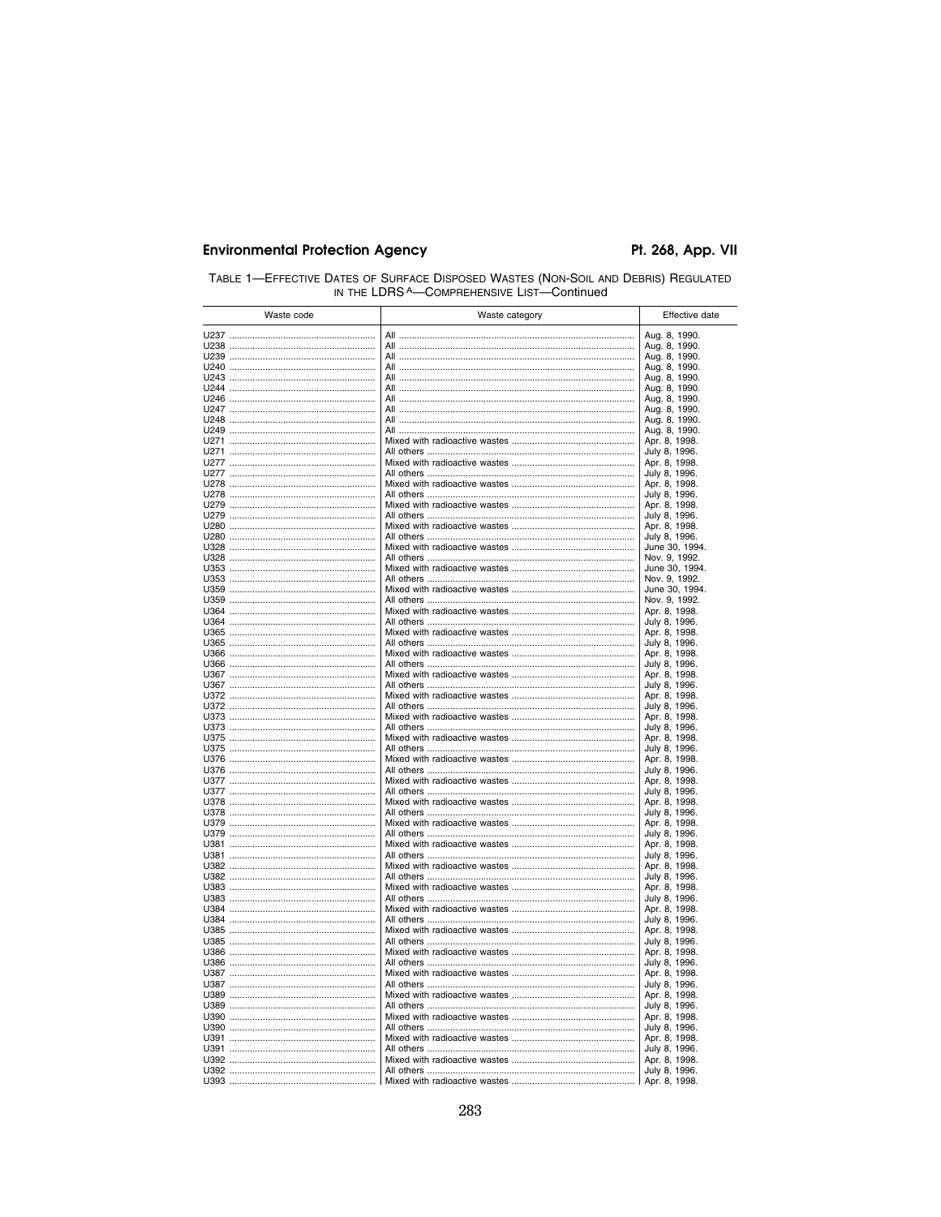| TABLE 1-EFFECTIVE DATES OF SURFACE DISPOSED WASTES (NON-SOIL AND DEBRIS) REGULATED |
|------------------------------------------------------------------------------------|
| IN THE LDRS A-COMPREHENSIVE LIST-Continued                                         |

| Waste code | Waste category | Effective date                  |
|------------|----------------|---------------------------------|
|            |                | Aug. 8, 1990.                   |
|            |                | Aug. 8, 1990.                   |
|            |                | Aug. 8, 1990.                   |
|            |                | Aug. 8, 1990.                   |
|            |                | Aug. 8, 1990.                   |
|            |                | Aug. 8, 1990.<br>Aug. 8, 1990.  |
|            |                | Aug. 8, 1990.                   |
|            |                | Aug. 8, 1990.                   |
|            |                | Aug. 8, 1990.                   |
|            |                | Apr. 8, 1998.                   |
|            |                | July 8, 1996.                   |
|            |                | Apr. 8, 1998.                   |
|            |                | July 8, 1996.<br>Apr. 8, 1998.  |
|            |                | July 8, 1996.                   |
|            |                | Apr. 8, 1998.                   |
|            |                | July 8, 1996.                   |
|            |                | Apr. 8, 1998.                   |
|            |                | July 8, 1996.                   |
|            |                | June 30, 1994.                  |
|            |                | Nov. 9, 1992.<br>June 30, 1994. |
|            |                | Nov. 9, 1992.                   |
|            |                | June 30, 1994.                  |
|            |                | Nov. 9, 1992.                   |
|            |                | Apr. 8, 1998.                   |
|            |                | July 8, 1996.                   |
|            |                | Apr. 8, 1998.<br>July 8, 1996.  |
|            |                | Apr. 8, 1998.                   |
|            |                | July 8, 1996.                   |
|            |                | Apr. 8, 1998.                   |
|            |                | July 8, 1996.                   |
|            |                | Apr. 8, 1998.                   |
|            |                | July 8, 1996.<br>Apr. 8, 1998.  |
|            |                | July 8, 1996.                   |
|            |                | Apr. 8, 1998.                   |
|            |                | July 8, 1996.                   |
|            |                | Apr. 8, 1998.                   |
|            |                | July 8, 1996.                   |
|            |                | Apr. 8, 1998.<br>July 8, 1996.  |
|            |                | Apr. 8, 1998.                   |
|            |                | July 8, 1996.                   |
|            |                | Apr. 8, 1998.                   |
|            |                | July 8, 1996.                   |
|            |                | Apr. 8, 1998.                   |
|            |                | July 8, 1996.                   |
|            |                | Apr. 8, 1998.<br>July 8, 1996.  |
|            |                | Apr. 8, 1998.                   |
|            |                | July 8, 1996.                   |
|            |                | Apr. 8, 1998.                   |
|            |                | July 8, 1996.                   |
|            |                | Apr. 8, 1998.                   |
|            |                | July 8, 1996.                   |
|            |                | Apr. 8, 1998.<br>July 8, 1996.  |
|            |                | Apr. 8, 1998.                   |
|            |                | July 8, 1996.                   |
|            |                | Apr. 8, 1998.                   |
|            |                | July 8, 1996.                   |
|            |                | Apr. 8, 1998.                   |
|            |                | July 8, 1996.                   |
|            |                | Apr. 8, 1998.<br>July 8, 1996.  |
|            |                | Apr. 8, 1998.                   |
|            |                | July 8, 1996.                   |
|            |                | Apr. 8, 1998.                   |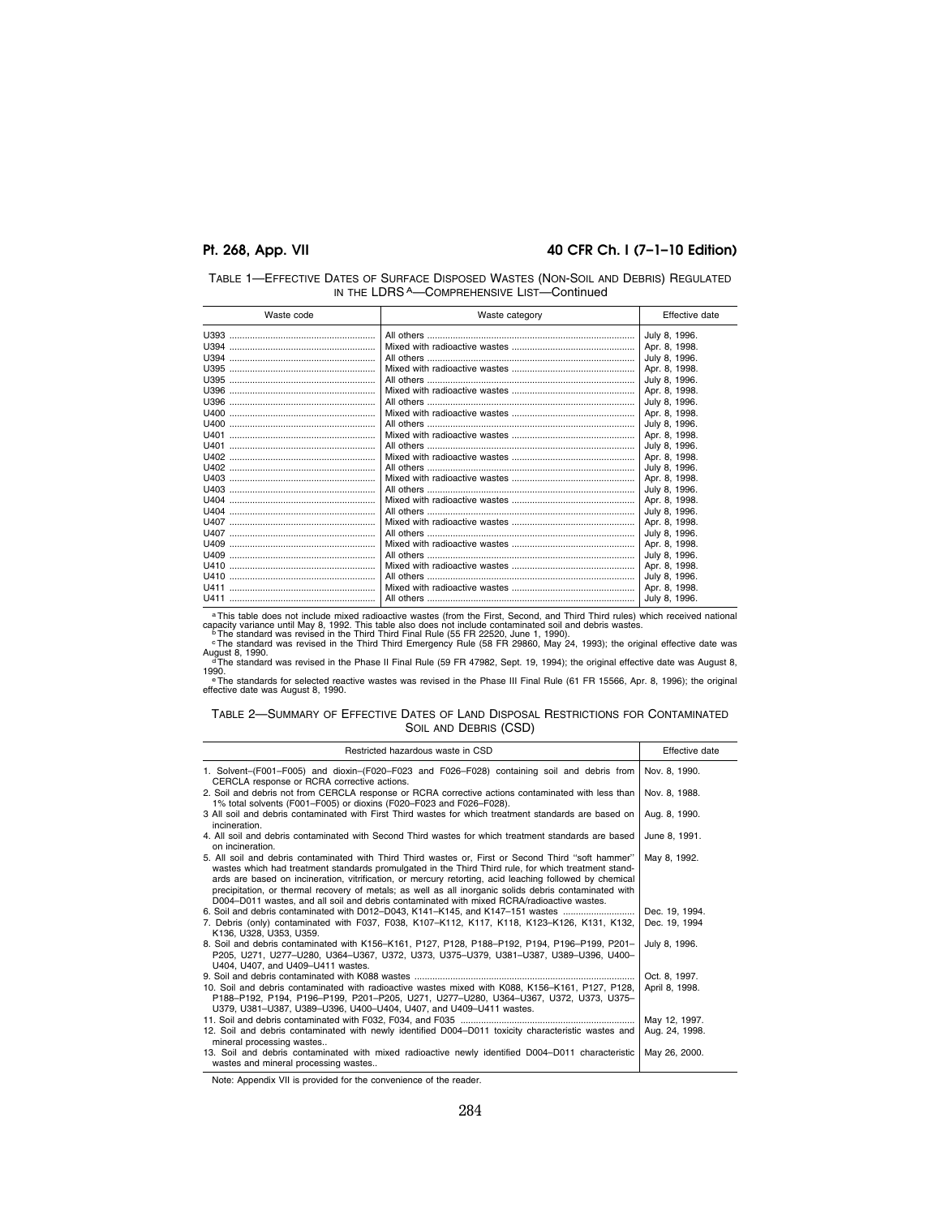#### **Pt. 268, App. VII 40 CFR Ch. I (7–1–10 Edition)**

| TABLE 1-EFFECTIVE DATES OF SURFACE DISPOSED WASTES (NON-SOIL AND DEBRIS) REGULATED |  |
|------------------------------------------------------------------------------------|--|
| IN THE LDRS A-COMPREHENSIVE LIST-Continued                                         |  |

| Waste code | Waste category | Effective date |
|------------|----------------|----------------|
|            |                | July 8, 1996.  |
|            |                | Apr. 8, 1998.  |
|            |                | July 8, 1996.  |
|            |                | Apr. 8, 1998.  |
|            |                | July 8, 1996.  |
|            |                | Apr. 8. 1998.  |
|            |                | July 8, 1996.  |
|            |                | Apr. 8, 1998.  |
|            |                | July 8, 1996.  |
|            |                | Apr. 8, 1998.  |
|            |                | July 8, 1996.  |
|            |                | Apr. 8, 1998.  |
|            |                | July 8, 1996.  |
|            |                | Apr. 8, 1998.  |
|            |                | July 8, 1996.  |
|            |                | Apr. 8, 1998.  |
|            |                | July 8, 1996.  |
|            |                | Apr. 8, 1998.  |
|            |                | July 8, 1996.  |
|            |                | Apr. 8, 1998.  |
|            |                | July 8, 1996.  |
|            |                | Apr. 8, 1998.  |
|            |                | July 8, 1996.  |
|            |                | Apr. 8, 1998.  |
|            |                | July 8, 1996.  |

a This table does not include mixed radioactive wastes (from the First, Second, and Third Third rules) which received national capacity variance utill May 8, 1992. This table also does not include contaminated soil and deb

1990.<br>- ° The standards for selected reactive wastes was revised in the Phase III Final Rule (61 FR 15566, Apr. 8, 1996); the original<br>effective date was August 8, 1990.

#### TABLE 2—SUMMARY OF EFFECTIVE DATES OF LAND DISPOSAL RESTRICTIONS FOR CONTAMINATED SOIL AND DEBRIS (CSD)

| Restricted hazardous waste in CSD                                                                                                                                                                                                                                                                                                                                                                                                                                                                                              | Effective date                  |
|--------------------------------------------------------------------------------------------------------------------------------------------------------------------------------------------------------------------------------------------------------------------------------------------------------------------------------------------------------------------------------------------------------------------------------------------------------------------------------------------------------------------------------|---------------------------------|
| 1. Solvent–(F001–F005) and dioxin–(F020–F023 and F026–F028) containing soil and debris from Nov. 8, 1990.<br>CERCLA response or RCRA corrective actions.                                                                                                                                                                                                                                                                                                                                                                       |                                 |
| 2. Soil and debris not from CERCLA response or RCRA corrective actions contaminated with less than<br>1% total solvents (F001-F005) or dioxins (F020-F023 and F026-F028).                                                                                                                                                                                                                                                                                                                                                      | Nov. 8, 1988.                   |
| 3 All soil and debris contaminated with First Third wastes for which treatment standards are based on<br>incineration.                                                                                                                                                                                                                                                                                                                                                                                                         | Aug. 8, 1990.                   |
| 4. All soil and debris contaminated with Second Third wastes for which treatment standards are based<br>on incineration.                                                                                                                                                                                                                                                                                                                                                                                                       | June 8, 1991.                   |
| 5. All soil and debris contaminated with Third Third wastes or, First or Second Third "soft hammer"<br>wastes which had treatment standards promulgated in the Third Third rule, for which treatment stand-<br>ards are based on incineration, vitrification, or mercury retorting, acid leaching followed by chemical<br>precipitation, or thermal recovery of metals; as well as all inorganic solids debris contaminated with<br>D004-D011 wastes, and all soil and debris contaminated with mixed RCRA/radioactive wastes. | May 8, 1992.                    |
| 6. Soil and debris contaminated with D012-D043, K141-K145, and K147-151 wastes<br>7. Debris (only) contaminated with F037, F038, K107-K112, K117, K118, K123-K126, K131, K132,<br>K136, U328, U353, U359.                                                                                                                                                                                                                                                                                                                      | Dec. 19, 1994.<br>Dec. 19, 1994 |
| 8. Soil and debris contaminated with K156–K161, P127, P128, P188–P192, P194, P196–P199, P201–<br>P205, U271, U277-U280, U364-U367, U372, U373, U375-U379, U381-U387, U389-U396, U400-<br>U404, U407, and U409-U411 wastes.                                                                                                                                                                                                                                                                                                     | July 8, 1996.                   |
| 10. Soil and debris contaminated with radioactive wastes mixed with K088, K156-K161, P127, P128,<br>P188-P192, P194, P196-P199, P201-P205, U271, U277-U280, U364-U367, U372, U373, U375-<br>U379, U381-U387, U389-U396, U400-U404, U407, and U409-U411 wastes.                                                                                                                                                                                                                                                                 | Oct. 8. 1997.<br>April 8, 1998. |
| 12. Soil and debris contaminated with newly identified D004-D011 toxicity characteristic wastes and<br>mineral processing wastes                                                                                                                                                                                                                                                                                                                                                                                               | May 12, 1997.<br>Aug. 24, 1998. |
| 13. Soil and debris contaminated with mixed radioactive newly identified D004-D011 characteristic<br>wastes and mineral processing wastes                                                                                                                                                                                                                                                                                                                                                                                      | May 26, 2000.                   |

Note: Appendix VII is provided for the convenience of the reader.